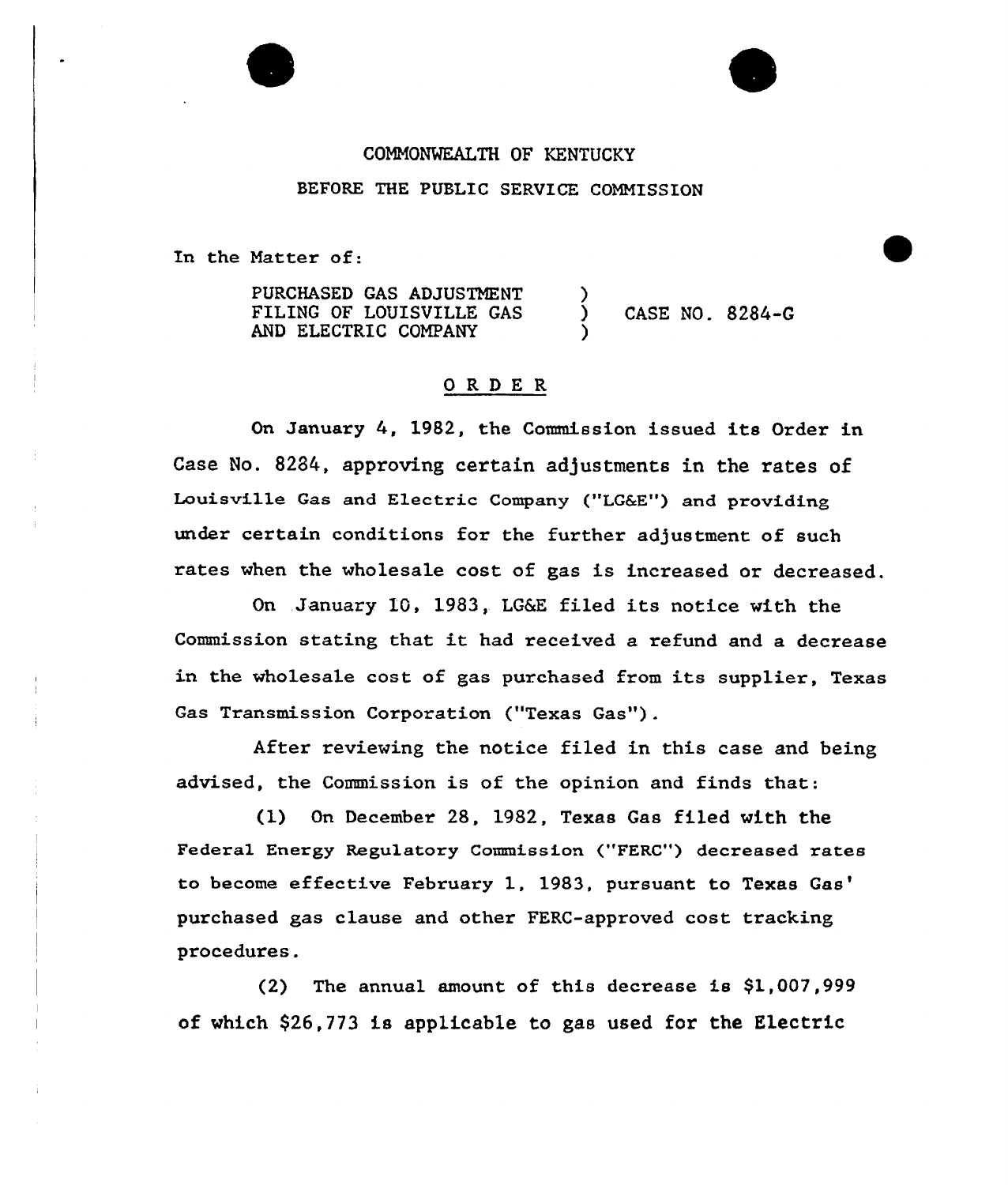## COMMONWEALTH OF KENTUCKY BEFORE THE PUBLIC SERVICE COMMISSION

In the Matter of:

PURCHASED GAS ADJUSTMENT FILING OF LOUISVILLE GAS AND ELECTRIC COMPANY

) CASE NO. 8284-G

## ORDER

On January 4, 1982, the Commission issued its Order in Case No. 8284, approving certain adjustments in the rates of Louisville Gas and Electric Company ("LG6E") and providing under certain conditions for the further adjustment of such rates when the wholesale cost of gas is increased or decreased.

)

)

On January 10, 1983, LG&E filed its notice with the Commission stating that it had received <sup>a</sup> refund and <sup>a</sup> decrease in the wholesale cost of gas purchased from its supplier, Texas Gas Transmission Corporation ("Texas Gas").

Aftex reviewing the notice filed in this case and being advised, the Commission is of the opinion and finds that:

(1) On December 28, 1982, Texas Gas filed with the Federal Energy Regulatory Commission ("FERC") decreased rates to become effective February 1, 1983, pursuant to Texas gas clause and other FERC-approved cost trackin procedures.

(2) The annual amount. of this decrease is \$1,007,999 of which \$26,773 is applicable to gas used for the Electric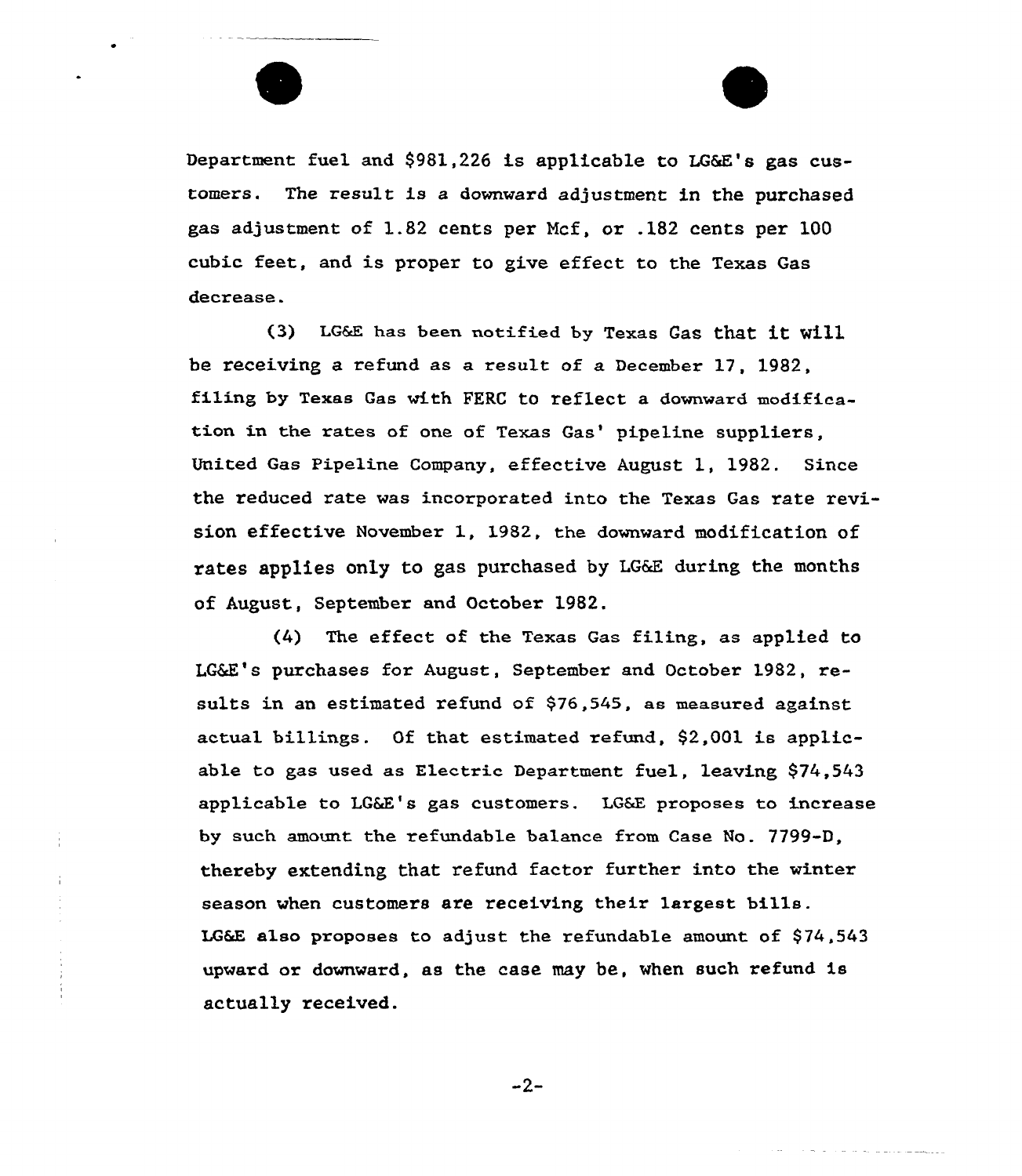

Department fuel and \$981,226 is applicable to LG&E's gas customers. The result is a downward adjustment in the purchased gas adjustment of 1.82 cents pex Ncf, ox .182 cents pex 100 cubic feet, and is proper to give effect to the Texas Gas decrease.

(3) LG&E has been notified by Texas Gas that it will be receiving a refund as a result of a December 17, 1982, filing by Texas Gas with PERC to reflect a downward modification in the rates of one of Texas Gas' pipeline suppliers, United Gas Pipeline Company, effective August 1, 1982. Since the reduced rate was incorporated into the Texas Gas rate revision effective November 1, 1982, the downward modification of rates applies only to gas purchased by LG&E during the months of August, September and October 1982.

(4) The effect of the Texas Gas filing, as applied to LG&E's purchases for August, September and October 1982, results in an estimated refund of \$76,545, as measured against. actual billings. Of that estimated refund, 92,001 is applicable to gas used as Electric Department fuel, leaving \$74,543 applicable to LG&E's gas customers. LG&E proposes to increase by such amount the refundable balance from Case No. 7799-D, thereby extending that refund factor further into the winter season when customers are receiving their largest bills. LG&E also proposes to adjust the refundable amount of 974,543 upward or downward, as the case may be, when such refund is actually received.

 $-2-$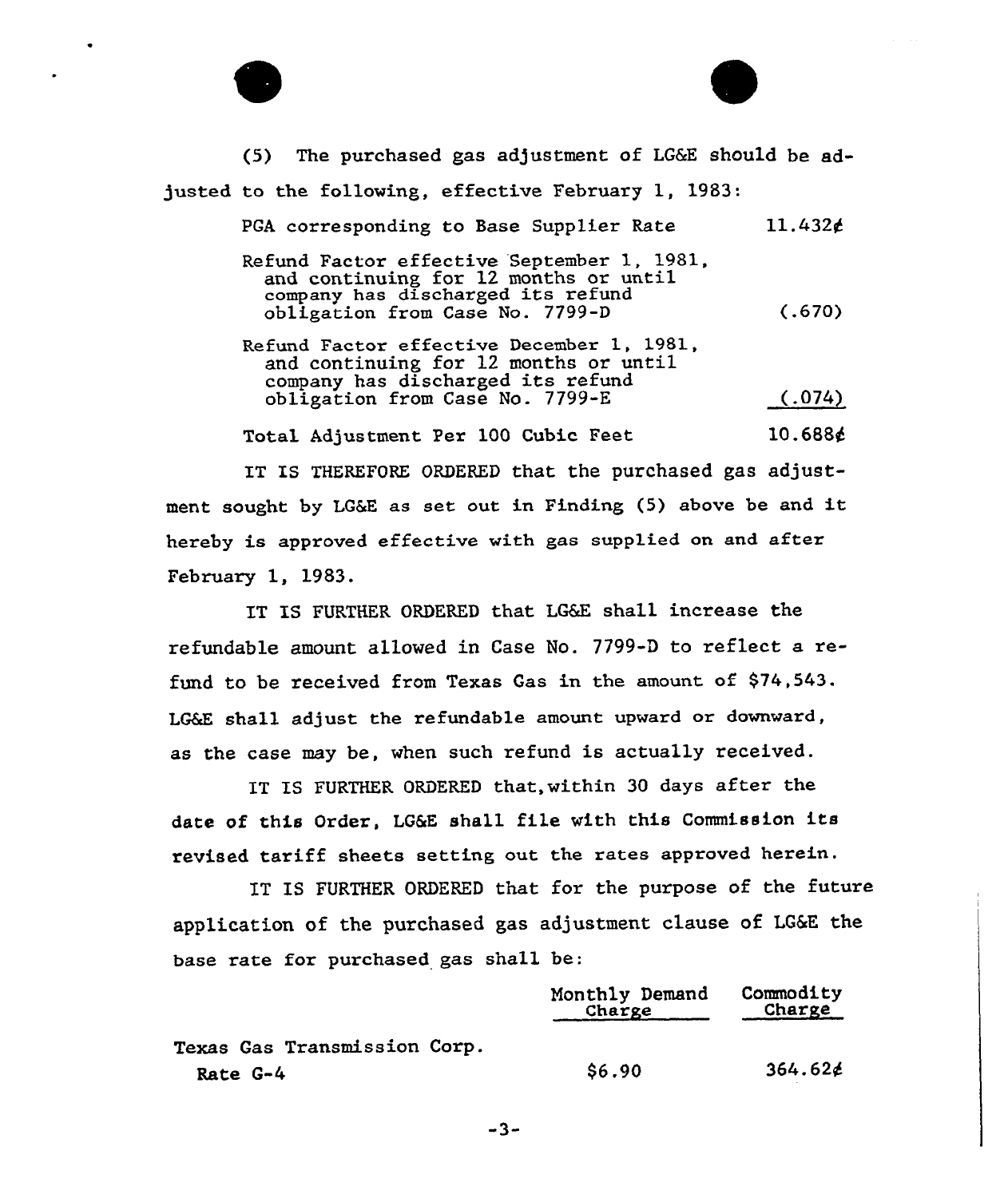



February 1, 1983.

IT IS FURTHER ORDERED that LG&E shall increase the refundable amount allowed in Case No. 7799-D to reflect a refund to be received from Texas Gas in the amount of \$74,543. LG&E shall adjust the refundable amount upward or downward, as the case may be, when such refund is actually received.

IT IS FURTHER ORDERED that, within 30 days after the date of this Order, LG&E shall file with this Commission its revised tariff sheets setting out the rates approved herein.

IT IS FURTHER ORDERED that for the purpose of the future application of the purchased gas adjustment clause of LG&E the base rate fox purchased gas shall be:

|                              | Monthly Demand<br>Charge | Commodity<br>Charge |
|------------------------------|--------------------------|---------------------|
| Texas Gas Transmission Corp. |                          |                     |
| Rate G-4                     | \$6.90                   | $364.62$ ć          |

 $-3-$